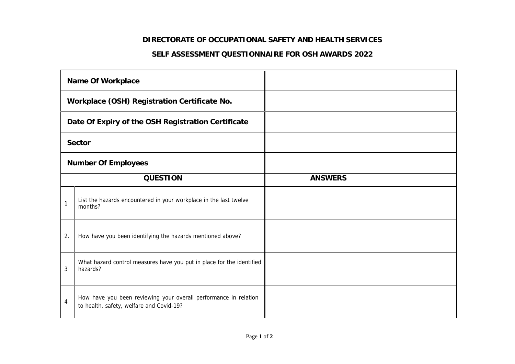## **DIRECTORATE OF OCCUPATIONAL SAFETY AND HEALTH SERVICES**

## **SELF ASSESSMENT QUESTIONNAIRE FOR OSH AWARDS 2022**

| Name Of Workplace                                  |                                                                                                              |                |
|----------------------------------------------------|--------------------------------------------------------------------------------------------------------------|----------------|
| Workplace (OSH) Registration Certificate No.       |                                                                                                              |                |
| Date Of Expiry of the OSH Registration Certificate |                                                                                                              |                |
| Sector                                             |                                                                                                              |                |
| Number Of Employees                                |                                                                                                              |                |
| QUESTION                                           |                                                                                                              | <b>ANSWERS</b> |
| $\mathbf{1}$                                       | List the hazards encountered in your workplace in the last twelve<br>months?                                 |                |
| 2.                                                 | How have you been identifying the hazards mentioned above?                                                   |                |
| 3                                                  | What hazard control measures have you put in place for the identified<br>hazards?                            |                |
| $\overline{4}$                                     | How have you been reviewing your overall performance in relation<br>to health, safety, welfare and Covid-19? |                |